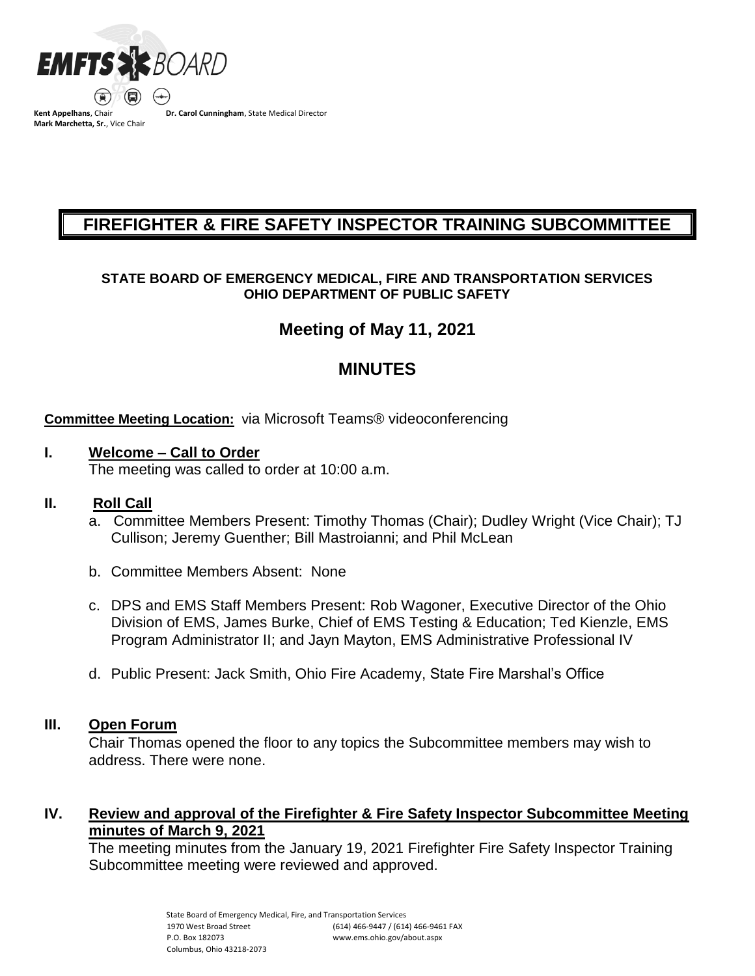

**Mark Marchetta, Sr.**, Vice Chair

**Dr. Carol Cunningham**, State Medical Director

# **FIREFIGHTER & FIRE SAFETY INSPECTOR TRAINING SUBCOMMITTEE**

### **STATE BOARD OF EMERGENCY MEDICAL, FIRE AND TRANSPORTATION SERVICES OHIO DEPARTMENT OF PUBLIC SAFETY**

## **Meeting of May 11, 2021**

## **MINUTES**

#### **Committee Meeting Location:** via Microsoft Teams® videoconferencing

#### **I. Welcome – Call to Order**

The meeting was called to order at 10:00 a.m.

### **II. Roll Call**

- a. Committee Members Present: Timothy Thomas (Chair); Dudley Wright (Vice Chair); TJ Cullison; Jeremy Guenther; Bill Mastroianni; and Phil McLean
- b. Committee Members Absent: None
- c. DPS and EMS Staff Members Present: Rob Wagoner, Executive Director of the Ohio Division of EMS, James Burke, Chief of EMS Testing & Education; Ted Kienzle, EMS Program Administrator II; and Jayn Mayton, EMS Administrative Professional IV
- d. Public Present: Jack Smith, Ohio Fire Academy, State Fire Marshal's Office

#### **III. Open Forum**

Chair Thomas opened the floor to any topics the Subcommittee members may wish to address. There were none.

### **IV. Review and approval of the Firefighter & Fire Safety Inspector Subcommittee Meeting minutes of March 9, 2021**

The meeting minutes from the January 19, 2021 Firefighter Fire Safety Inspector Training Subcommittee meeting were reviewed and approved.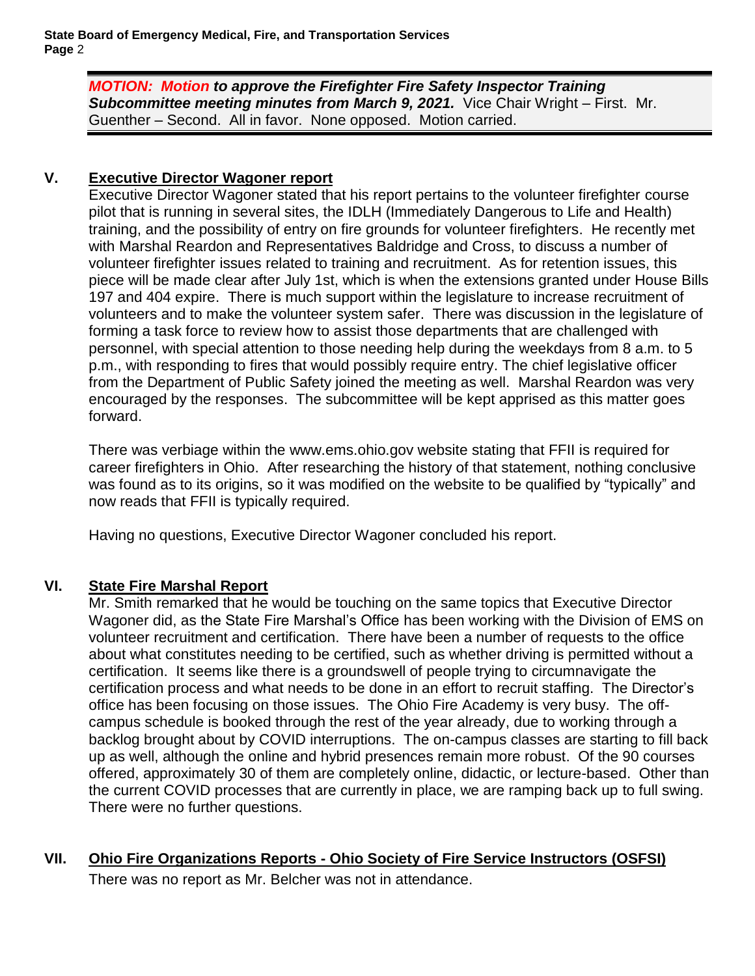**State Board of Emergency Medical, Fire, and Transportation Services Page** 2

> *MOTION: Motion to approve the Firefighter Fire Safety Inspector Training*  **Subcommittee meeting minutes from March 9, 2021.** Vice Chair Wright – First. Mr. Guenther – Second. All in favor. None opposed. Motion carried.

## **V. Executive Director Wagoner report**

Executive Director Wagoner stated that his report pertains to the volunteer firefighter course pilot that is running in several sites, the IDLH (Immediately Dangerous to Life and Health) training, and the possibility of entry on fire grounds for volunteer firefighters. He recently met with Marshal Reardon and Representatives Baldridge and Cross, to discuss a number of volunteer firefighter issues related to training and recruitment. As for retention issues, this piece will be made clear after July 1st, which is when the extensions granted under House Bills 197 and 404 expire. There is much support within the legislature to increase recruitment of volunteers and to make the volunteer system safer. There was discussion in the legislature of forming a task force to review how to assist those departments that are challenged with personnel, with special attention to those needing help during the weekdays from 8 a.m. to 5 p.m., with responding to fires that would possibly require entry. The chief legislative officer from the Department of Public Safety joined the meeting as well. Marshal Reardon was very encouraged by the responses. The subcommittee will be kept apprised as this matter goes forward.

There was verbiage within the www.ems.ohio.gov website stating that FFII is required for career firefighters in Ohio. After researching the history of that statement, nothing conclusive was found as to its origins, so it was modified on the website to be qualified by "typically" and now reads that FFII is typically required.

Having no questions, Executive Director Wagoner concluded his report.

### **VI. State Fire Marshal Report**

Mr. Smith remarked that he would be touching on the same topics that Executive Director Wagoner did, as the State Fire Marshal's Office has been working with the Division of EMS on volunteer recruitment and certification. There have been a number of requests to the office about what constitutes needing to be certified, such as whether driving is permitted without a certification. It seems like there is a groundswell of people trying to circumnavigate the certification process and what needs to be done in an effort to recruit staffing. The Director's office has been focusing on those issues. The Ohio Fire Academy is very busy. The offcampus schedule is booked through the rest of the year already, due to working through a backlog brought about by COVID interruptions. The on-campus classes are starting to fill back up as well, although the online and hybrid presences remain more robust. Of the 90 courses offered, approximately 30 of them are completely online, didactic, or lecture-based. Other than the current COVID processes that are currently in place, we are ramping back up to full swing. There were no further questions.

### **VII. Ohio Fire Organizations Reports - Ohio Society of Fire Service Instructors (OSFSI)**

There was no report as Mr. Belcher was not in attendance.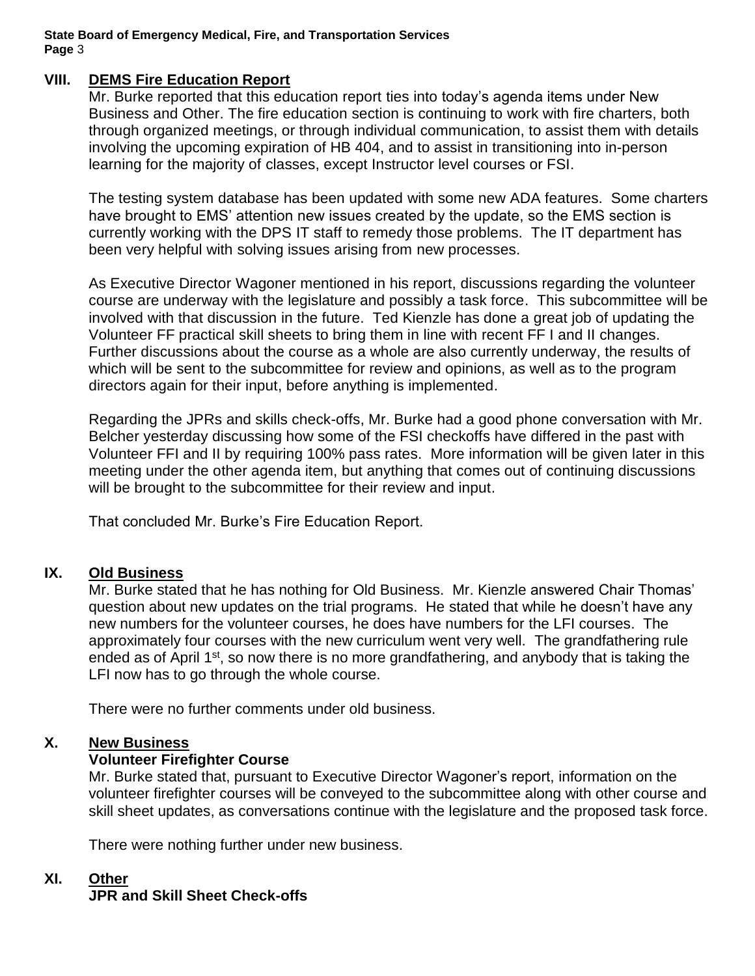**State Board of Emergency Medical, Fire, and Transportation Services Page** 3

#### **VIII. DEMS Fire Education Report**

Mr. Burke reported that this education report ties into today's agenda items under New Business and Other. The fire education section is continuing to work with fire charters, both through organized meetings, or through individual communication, to assist them with details involving the upcoming expiration of HB 404, and to assist in transitioning into in-person learning for the majority of classes, except Instructor level courses or FSI.

The testing system database has been updated with some new ADA features. Some charters have brought to EMS' attention new issues created by the update, so the EMS section is currently working with the DPS IT staff to remedy those problems. The IT department has been very helpful with solving issues arising from new processes.

As Executive Director Wagoner mentioned in his report, discussions regarding the volunteer course are underway with the legislature and possibly a task force. This subcommittee will be involved with that discussion in the future. Ted Kienzle has done a great job of updating the Volunteer FF practical skill sheets to bring them in line with recent FF I and II changes. Further discussions about the course as a whole are also currently underway, the results of which will be sent to the subcommittee for review and opinions, as well as to the program directors again for their input, before anything is implemented.

Regarding the JPRs and skills check-offs, Mr. Burke had a good phone conversation with Mr. Belcher yesterday discussing how some of the FSI checkoffs have differed in the past with Volunteer FFI and II by requiring 100% pass rates. More information will be given later in this meeting under the other agenda item, but anything that comes out of continuing discussions will be brought to the subcommittee for their review and input.

That concluded Mr. Burke's Fire Education Report.

### **IX. Old Business**

Mr. Burke stated that he has nothing for Old Business. Mr. Kienzle answered Chair Thomas' question about new updates on the trial programs. He stated that while he doesn't have any new numbers for the volunteer courses, he does have numbers for the LFI courses. The approximately four courses with the new curriculum went very well. The grandfathering rule ended as of April 1<sup>st</sup>, so now there is no more grandfathering, and anybody that is taking the LFI now has to go through the whole course.

There were no further comments under old business.

#### **X. New Business**

## **Volunteer Firefighter Course**

Mr. Burke stated that, pursuant to Executive Director Wagoner's report, information on the volunteer firefighter courses will be conveyed to the subcommittee along with other course and skill sheet updates, as conversations continue with the legislature and the proposed task force.

There were nothing further under new business.

#### **XI. Other**

### **JPR and Skill Sheet Check-offs**